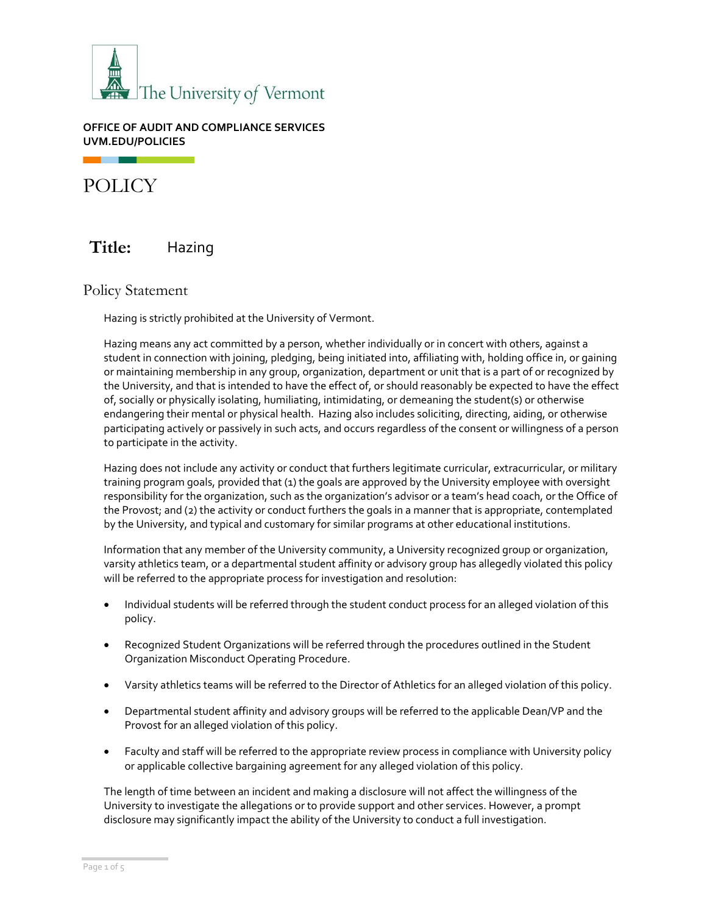

**OFFICE OF AUDIT AND COMPLIANCE SERVICES UVM.EDU/POLICIES**

POLICY

# **Title:** Hazing

Policy Statement

Hazing is strictly prohibited at the University of Vermont.

Hazing means any act committed by a person, whether individually or in concert with others, against a student in connection with joining, pledging, being initiated into, affiliating with, holding office in, or gaining or maintaining membership in any group, organization, department or unit that is a part of or recognized by the University, and that is intended to have the effect of, or should reasonably be expected to have the effect of, socially or physically isolating, humiliating, intimidating, or demeaning the student(s) or otherwise endangering their mental or physical health. Hazing also includes soliciting, directing, aiding, or otherwise participating actively or passively in such acts, and occurs regardless of the consent or willingness of a person to participate in the activity.

Hazing does not include any activity or conduct that furthers legitimate curricular, extracurricular, or military training program goals, provided that (1) the goals are approved by the University employee with oversight responsibility for the organization, such as the organization's advisor or a team's head coach, or the Office of the Provost; and (2) the activity or conduct furthers the goals in a manner that is appropriate, contemplated by the University, and typical and customary for similar programs at other educational institutions.

Information that any member of the University community, a University recognized group or organization, varsity athletics team, or a departmental student affinity or advisory group has allegedly violated this policy will be referred to the appropriate process for investigation and resolution:

- Individual students will be referred through the student conduct process for an alleged violation of this policy.
- Recognized Student Organizations will be referred through the procedures outlined in the Student Organization Misconduct Operating Procedure.
- Varsity athletics teams will be referred to the Director of Athletics for an alleged violation of this policy.
- Departmental student affinity and advisory groups will be referred to the applicable Dean/VP and the Provost for an alleged violation of this policy.
- Faculty and staff will be referred to the appropriate review process in compliance with University policy or applicable collective bargaining agreement for any alleged violation of this policy.

The length of time between an incident and making a disclosure will not affect the willingness of the University to investigate the allegations or to provide support and other services. However, a prompt disclosure may significantly impact the ability of the University to conduct a full investigation.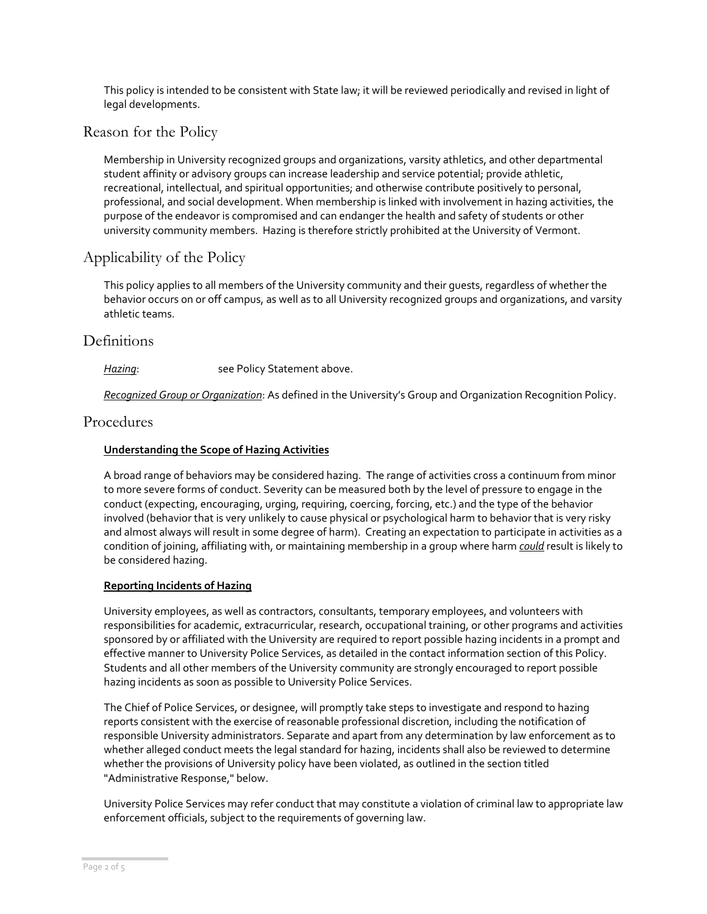This policy is intended to be consistent with State law; it will be reviewed periodically and revised in light of legal developments.

### Reason for the Policy

Membership in University recognized groups and organizations, varsity athletics, and other departmental student affinity or advisory groups can increase leadership and service potential; provide athletic, recreational, intellectual, and spiritual opportunities; and otherwise contribute positively to personal, professional, and social development. When membership is linked with involvement in hazing activities, the purpose of the endeavor is compromised and can endanger the health and safety of students or other university community members. Hazing is therefore strictly prohibited at the University of Vermont.

# Applicability of the Policy

This policy applies to all members of the University community and their guests, regardless of whether the behavior occurs on or off campus, as well as to all University recognized groups and organizations, and varsity athletic teams.

### **Definitions**

### Hazing: see Policy Statement above.

*Recognized Group or Organization*: As defined in the University's Group and Organization Recognition Policy.

### Procedures

#### **Understanding the Scope of Hazing Activities**

A broad range of behaviors may be considered hazing. The range of activities cross a continuum from minor to more severe forms of conduct. Severity can be measured both by the level of pressure to engage in the conduct (expecting, encouraging, urging, requiring, coercing, forcing, etc.) and the type of the behavior involved (behavior that is very unlikely to cause physical or psychological harm to behavior that is very risky and almost always will result in some degree of harm). Creating an expectation to participate in activities as a condition of joining, affiliating with, or maintaining membership in a group where harm *could* result is likely to be considered hazing.

#### **Reporting Incidents of Hazing**

University employees, as well as contractors, consultants, temporary employees, and volunteers with responsibilities for academic, extracurricular, research, occupational training, or other programs and activities sponsored by or affiliated with the University are required to report possible hazing incidents in a prompt and effective manner to University Police Services, as detailed in the contact information section of this Policy. Students and all other members of the University community are strongly encouraged to report possible hazing incidents as soon as possible to University Police Services.

The Chief of Police Services, or designee, will promptly take steps to investigate and respond to hazing reports consistent with the exercise of reasonable professional discretion, including the notification of responsible University administrators. Separate and apart from any determination by law enforcement as to whether alleged conduct meets the legal standard for hazing, incidents shall also be reviewed to determine whether the provisions of University policy have been violated, as outlined in the section titled "Administrative Response," below.

University Police Services may refer conduct that may constitute a violation of criminal law to appropriate law enforcement officials, subject to the requirements of governing law.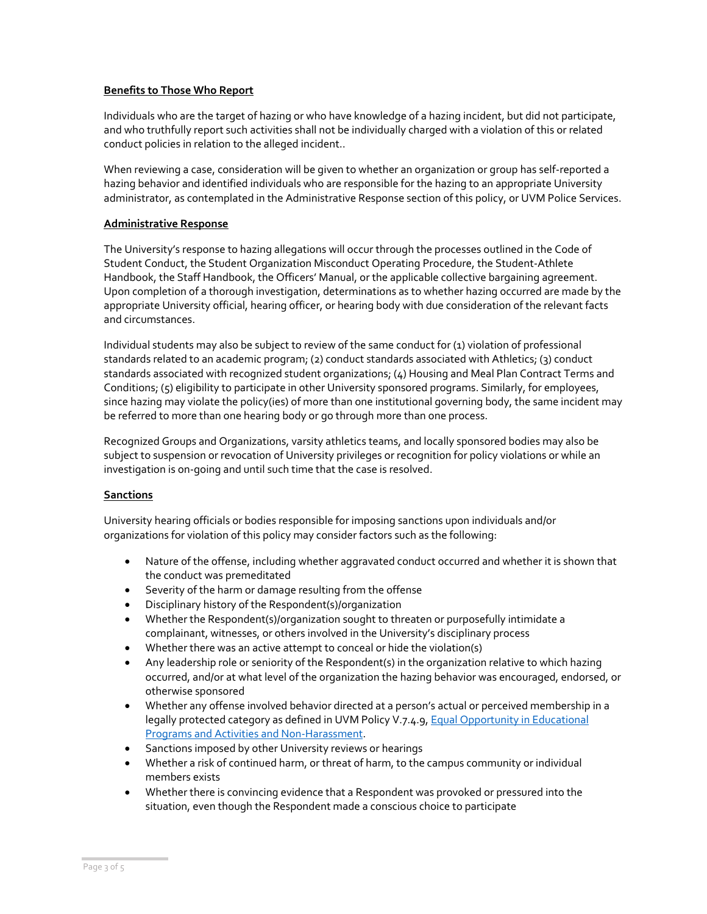#### **Benefits to Those Who Report**

Individuals who are the target of hazing or who have knowledge of a hazing incident, but did not participate, and who truthfully report such activities shall not be individually charged with a violation of this or related conduct policies in relation to the alleged incident..

When reviewing a case, consideration will be given to whether an organization or group has self-reported a hazing behavior and identified individuals who are responsible for the hazing to an appropriate University administrator, as contemplated in the Administrative Response section of this policy, or UVM Police Services.

#### **Administrative Response**

The University's response to hazing allegations will occur through the processes outlined in the Code of Student Conduct, the Student Organization Misconduct Operating Procedure, the Student-Athlete Handbook, the Staff Handbook, the Officers' Manual, or the applicable collective bargaining agreement. Upon completion of a thorough investigation, determinations as to whether hazing occurred are made by the appropriate University official, hearing officer, or hearing body with due consideration of the relevant facts and circumstances.

Individual students may also be subject to review of the same conduct for (1) violation of professional standards related to an academic program; (2) conduct standards associated with Athletics; (3) conduct standards associated with recognized student organizations; (4) Housing and Meal Plan Contract Terms and Conditions; (5) eligibility to participate in other University sponsored programs. Similarly, for employees, since hazing may violate the policy(ies) of more than one institutional governing body, the same incident may be referred to more than one hearing body or go through more than one process.

Recognized Groups and Organizations, varsity athletics teams, and locally sponsored bodies may also be subject to suspension or revocation of University privileges or recognition for policy violations or while an investigation is on-going and until such time that the case is resolved.

#### **Sanctions**

University hearing officials or bodies responsible for imposing sanctions upon individuals and/or organizations for violation of this policy may consider factors such as the following:

- Nature of the offense, including whether aggravated conduct occurred and whether it is shown that the conduct was premeditated
- Severity of the harm or damage resulting from the offense
- Disciplinary history of the Respondent(s)/organization
- Whether the Respondent(s)/organization sought to threaten or purposefully intimidate a complainant, witnesses, or others involved in the University's disciplinary process
- Whether there was an active attempt to conceal or hide the violation(s)
- Any leadership role or seniority of the Respondent(s) in the organization relative to which hazing occurred, and/or at what level of the organization the hazing behavior was encouraged, endorsed, or otherwise sponsored
- Whether any offense involved behavior directed at a person's actual or perceived membership in a legally protected category as defined in UVM Policy V.7.4.9, Equal Opportunity in Educational [Programs and Activities and Non-Harassment.](https://www.uvm.edu/sites/default/files/UVM-Policies/policies/equaledu.pdf)
- Sanctions imposed by other University reviews or hearings
- Whether a risk of continued harm, or threat of harm, to the campus community or individual members exists
- Whether there is convincing evidence that a Respondent was provoked or pressured into the situation, even though the Respondent made a conscious choice to participate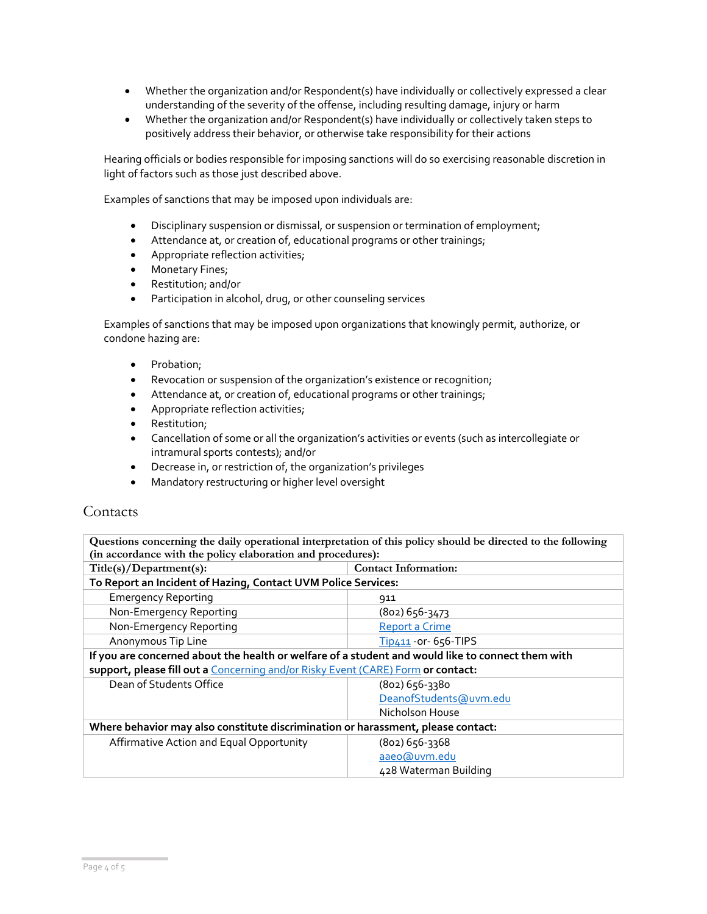- Whether the organization and/or Respondent(s) have individually or collectively expressed a clear understanding of the severity of the offense, including resulting damage, injury or harm
- Whether the organization and/or Respondent(s) have individually or collectively taken steps to positively address their behavior, or otherwise take responsibility for their actions

Hearing officials or bodies responsible for imposing sanctions will do so exercising reasonable discretion in light of factors such as those just described above.

Examples of sanctions that may be imposed upon individuals are:

- Disciplinary suspension or dismissal, or suspension or termination of employment;
- Attendance at, or creation of, educational programs or other trainings;
- Appropriate reflection activities;
- Monetary Fines;
- Restitution; and/or
- Participation in alcohol, drug, or other counseling services

Examples of sanctions that may be imposed upon organizations that knowingly permit, authorize, or condone hazing are:

- Probation;
- Revocation or suspension of the organization's existence or recognition;
- Attendance at, or creation of, educational programs or other trainings;
- Appropriate reflection activities;
- Restitution;
- Cancellation of some or all the organization's activities or events (such as intercollegiate or intramural sports contests); and/or
- Decrease in, or restriction of, the organization's privileges
- Mandatory restructuring or higher level oversight

# Contacts

| Questions concerning the daily operational interpretation of this policy should be directed to the following |                             |  |  |  |
|--------------------------------------------------------------------------------------------------------------|-----------------------------|--|--|--|
| (in accordance with the policy elaboration and procedures):                                                  |                             |  |  |  |
| Title(s)/Department(s):                                                                                      | <b>Contact Information:</b> |  |  |  |
| To Report an Incident of Hazing, Contact UVM Police Services:                                                |                             |  |  |  |
| <b>Emergency Reporting</b>                                                                                   | 911                         |  |  |  |
| Non-Emergency Reporting                                                                                      | $(802)$ 656-3473            |  |  |  |
| Non-Emergency Reporting                                                                                      | <b>Report a Crime</b>       |  |  |  |
| Anonymous Tip Line                                                                                           | Tip411 - or - 656-TIPS      |  |  |  |
| If you are concerned about the health or welfare of a student and would like to connect them with            |                             |  |  |  |
| support, please fill out a Concerning and/or Risky Event (CARE) Form or contact:                             |                             |  |  |  |
| Dean of Students Office                                                                                      | $(802)$ 656-3380            |  |  |  |
|                                                                                                              | DeanofStudents@uvm.edu      |  |  |  |
|                                                                                                              | Nicholson House             |  |  |  |
| Where behavior may also constitute discrimination or harassment, please contact:                             |                             |  |  |  |
| Affirmative Action and Equal Opportunity                                                                     | (802) 656-3368              |  |  |  |
|                                                                                                              | aaeo@uvm.edu                |  |  |  |
|                                                                                                              | 428 Waterman Building       |  |  |  |